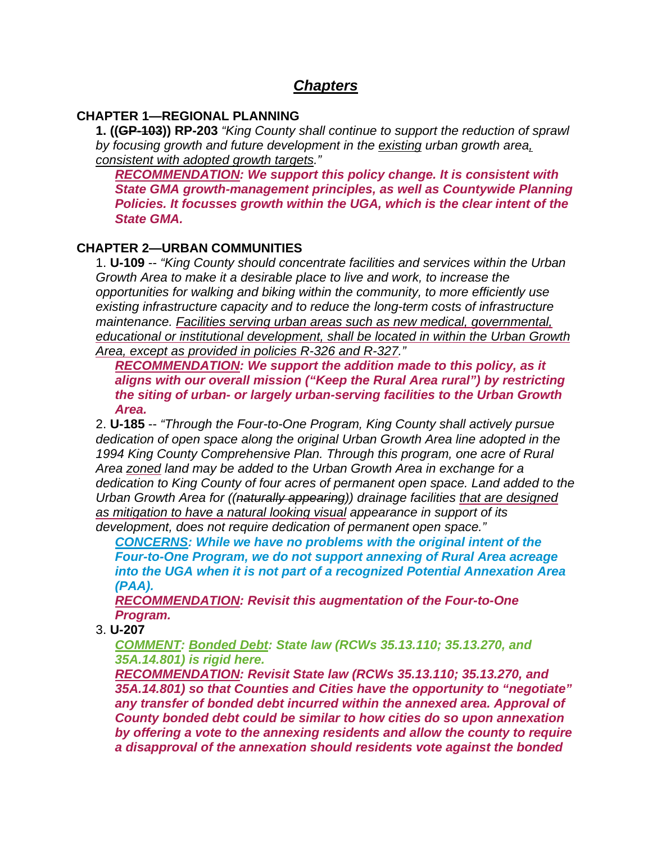# *Chapters*

## **CHAPTER 1—REGIONAL PLANNING**

**1. ((GP-103)) RP-203** *"King County shall continue to support the reduction of sprawl by focusing growth and future development in the existing urban growth area, consistent with adopted growth targets."*

*RECOMMENDATION: We support this policy change. It is consistent with State GMA growth-management principles, as well as Countywide Planning Policies. It focusses growth within the UGA, which is the clear intent of the State GMA.*

# **CHAPTER 2—URBAN COMMUNITIES**

1. **U-109** -- *"King County should concentrate facilities and services within the Urban Growth Area to make it a desirable place to live and work, to increase the opportunities for walking and biking within the community, to more efficiently use existing infrastructure capacity and to reduce the long-term costs of infrastructure maintenance. Facilities serving urban areas such as new medical, governmental, educational or institutional development, shall be located in within the Urban Growth Area, except as provided in policies R-326 and R-327."*

*RECOMMENDATION: We support the addition made to this policy, as it aligns with our overall mission ("Keep the Rural Area rural") by restricting the siting of urban- or largely urban-serving facilities to the Urban Growth Area.*

2. **U-185** -- *"Through the Four-to-One Program, King County shall actively pursue dedication of open space along the original Urban Growth Area line adopted in the 1994 King County Comprehensive Plan. Through this program, one acre of Rural Area zoned land may be added to the Urban Growth Area in exchange for a dedication to King County of four acres of permanent open space. Land added to the Urban Growth Area for ((naturally appearing)) drainage facilities that are designed as mitigation to have a natural looking visual appearance in support of its development, does not require dedication of permanent open space."*

*CONCERNS: While we have no problems with the original intent of the Four-to-One Program, we do not support annexing of Rural Area acreage into the UGA when it is not part of a recognized Potential Annexation Area (PAA).*

*RECOMMENDATION: Revisit this augmentation of the Four-to-One Program.*

3. **U-207**

*COMMENT: Bonded Debt: State law (RCWs 35.13.110; 35.13.270, and 35A.14.801) is rigid here.*

*RECOMMENDATION: Revisit State law (RCWs 35.13.110; 35.13.270, and 35A.14.801) so that Counties and Cities have the opportunity to "negotiate" any transfer of bonded debt incurred within the annexed area. Approval of County bonded debt could be similar to how cities do so upon annexation by offering a vote to the annexing residents and allow the county to require a disapproval of the annexation should residents vote against the bonded*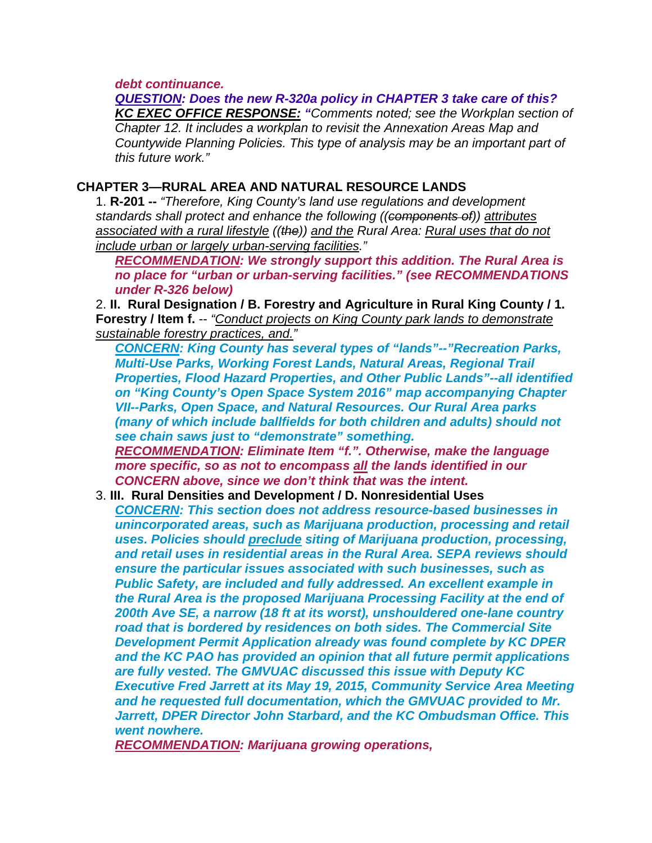*debt continuance.*

*QUESTION: Does the new R-320a policy in CHAPTER 3 take care of this? KC EXEC OFFICE RESPONSE: "Comments noted; see the Workplan section of Chapter 12. It includes a workplan to revisit the Annexation Areas Map and Countywide Planning Policies. This type of analysis may be an important part of this future work."*

## **CHAPTER 3—RURAL AREA AND NATURAL RESOURCE LANDS**

1. **R-201 --** *"Therefore, King County's land use regulations and development standards shall protect and enhance the following ((components of)) attributes associated with a rural lifestyle ((the)) and the Rural Area: Rural uses that do not include urban or largely urban-serving facilities."*

*RECOMMENDATION: We strongly support this addition. The Rural Area is no place for "urban or urban-serving facilities." (see RECOMMENDATIONS under R-326 below)*

2. **II. Rural Designation / B. Forestry and Agriculture in Rural King County / 1. Forestry / Item f.** -- *"Conduct projects on King County park lands to demonstrate sustainable forestry practices, and."*

*CONCERN: King County has several types of "lands"--"Recreation Parks, Multi-Use Parks, Working Forest Lands, Natural Areas, Regional Trail Properties, Flood Hazard Properties, and Other Public Lands"--all identified on "King County's Open Space System 2016" map accompanying Chapter VII--Parks, Open Space, and Natural Resources. Our Rural Area parks (many of which include ballfields for both children and adults) should not see chain saws just to "demonstrate" something. RECOMMENDATION: Eliminate Item "f.". Otherwise, make the language* 

*more specific, so as not to encompass all the lands identified in our CONCERN above, since we don't think that was the intent.*

### 3. **III. Rural Densities and Development / D. Nonresidential Uses**

*CONCERN: This section does not address resource-based businesses in unincorporated areas, such as Marijuana production, processing and retail uses. Policies should preclude siting of Marijuana production, processing, and retail uses in residential areas in the Rural Area. SEPA reviews should ensure the particular issues associated with such businesses, such as Public Safety, are included and fully addressed. An excellent example in the Rural Area is the proposed Marijuana Processing Facility at the end of 200th Ave SE, a narrow (18 ft at its worst), unshouldered one-lane country road that is bordered by residences on both sides. The Commercial Site Development Permit Application already was found complete by KC DPER and the KC PAO has provided an opinion that all future permit applications are fully vested. The GMVUAC discussed this issue with Deputy KC Executive Fred Jarrett at its May 19, 2015, Community Service Area Meeting and he requested full documentation, which the GMVUAC provided to Mr. Jarrett, DPER Director John Starbard, and the KC Ombudsman Office. This went nowhere.*

*RECOMMENDATION: Marijuana growing operations,*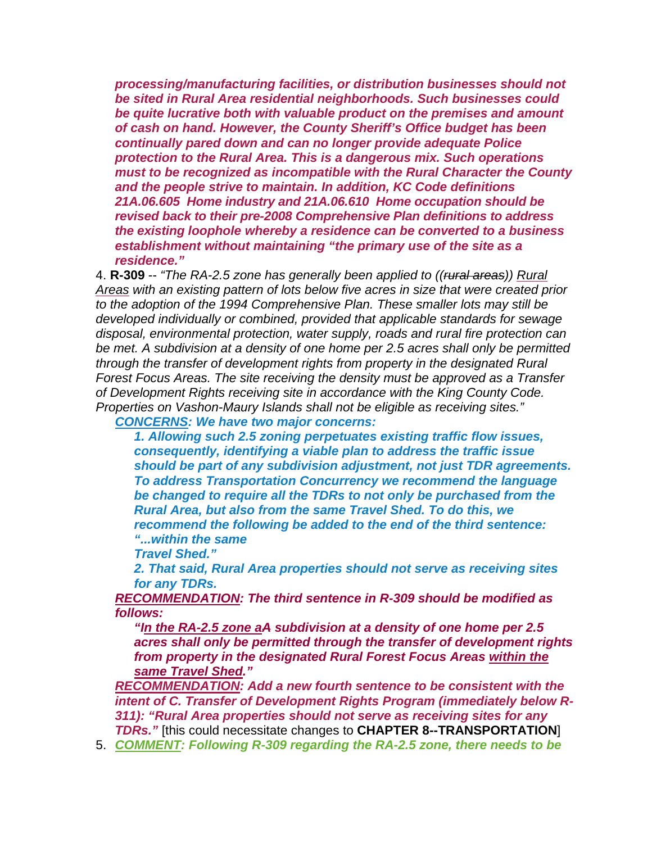*processing/manufacturing facilities, or distribution businesses should not be sited in Rural Area residential neighborhoods. Such businesses could be quite lucrative both with valuable product on the premises and amount of cash on hand. However, the County Sheriff's Office budget has been continually pared down and can no longer provide adequate Police protection to the Rural Area. This is a dangerous mix. Such operations must to be recognized as incompatible with the Rural Character the County and the people strive to maintain. In addition, KC Code definitions 21A.06.605 Home industry and 21A.06.610 Home occupation should be revised back to their pre-2008 Comprehensive Plan definitions to address the existing loophole whereby a residence can be converted to a business establishment without maintaining "the primary use of the site as a residence."*

4. **R-309** -- *"The RA-2.5 zone has generally been applied to ((rural areas)) Rural Areas with an existing pattern of lots below five acres in size that were created prior to the adoption of the 1994 Comprehensive Plan. These smaller lots may still be developed individually or combined, provided that applicable standards for sewage disposal, environmental protection, water supply, roads and rural fire protection can be met. A subdivision at a density of one home per 2.5 acres shall only be permitted through the transfer of development rights from property in the designated Rural Forest Focus Areas. The site receiving the density must be approved as a Transfer of Development Rights receiving site in accordance with the King County Code. Properties on Vashon-Maury Islands shall not be eligible as receiving sites." CONCERNS: We have two major concerns:*

*1. Allowing such 2.5 zoning perpetuates existing traffic flow issues, consequently, identifying a viable plan to address the traffic issue should be part of any subdivision adjustment, not just TDR agreements. To address Transportation Concurrency we recommend the language be changed to require all the TDRs to not only be purchased from the Rural Area, but also from the same Travel Shed. To do this, we recommend the following be added to the end of the third sentence: "...within the same*

*Travel Shed."*

*2. That said, Rural Area properties should not serve as receiving sites for any TDRs.*

*RECOMMENDATION: The third sentence in R-309 should be modified as follows:*

*"In the RA-2.5 zone aA subdivision at a density of one home per 2.5 acres shall only be permitted through the transfer of development rights from property in the designated Rural Forest Focus Areas within the same Travel Shed."*

*RECOMMENDATION: Add a new fourth sentence to be consistent with the intent of C. Transfer of Development Rights Program (immediately below R-311): "Rural Area properties should not serve as receiving sites for any TDRs."* [this could necessitate changes to **CHAPTER 8--TRANSPORTATION**]

5. *COMMENT: Following R-309 regarding the RA-2.5 zone, there needs to be*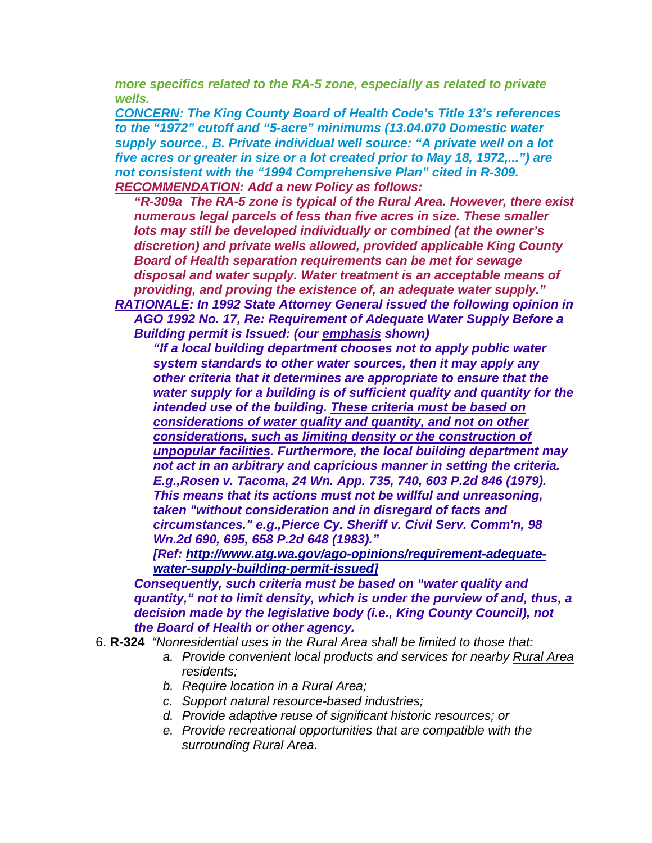*more specifics related to the RA-5 zone, especially as related to private wells.* 

*CONCERN: The King County Board of Health Code's Title 13's references to the "1972" cutoff and "5-acre" minimums (13.04.070 Domestic water supply source., B. Private individual well source: "A private well on a lot five acres or greater in size or a lot created prior to May 18, 1972,...") are not consistent with the "1994 Comprehensive Plan" cited in R-309. RECOMMENDATION: Add a new Policy as follows:*

*"R-309a The RA-5 zone is typical of the Rural Area. However, there exist numerous legal parcels of less than five acres in size. These smaller lots may still be developed individually or combined (at the owner's discretion) and private wells allowed, provided applicable King County Board of Health separation requirements can be met for sewage disposal and water supply. Water treatment is an acceptable means of providing, and proving the existence of, an adequate water supply."*

*RATIONALE: In 1992 State Attorney General issued the following opinion in AGO 1992 No. 17, Re: Requirement of Adequate Water Supply Before a Building permit is Issued: (our emphasis shown)*

*"If a local building department chooses not to apply public water system standards to other water sources, then it may apply any other criteria that it determines are appropriate to ensure that the water supply for a building is of sufficient quality and quantity for the intended use of the building. These criteria must be based on considerations of water quality and quantity, and not on other considerations, such as limiting density or the construction of unpopular facilities. Furthermore, the local building department may not act in an arbitrary and capricious manner in setting the criteria. E.g.,Rosen v. Tacoma, 24 Wn. App. 735, 740, 603 P.2d 846 (1979). This means that its actions must not be willful and unreasoning, taken "without consideration and in disregard of facts and circumstances." e.g.,Pierce Cy. Sheriff v. Civil Serv. Comm'n, 98 Wn.2d 690, 695, 658 P.2d 648 (1983)."* 

*[Ref: [http://www.atg.wa.gov/ago-opinions/requirement-adequate](http://www.atg.wa.gov/ago-opinions/requirement-adequate-water-supply-building-permit-issued.%5D)[water-supply-building-permit-issued\]](http://www.atg.wa.gov/ago-opinions/requirement-adequate-water-supply-building-permit-issued.%5D)*

*Consequently, such criteria must be based on "water quality and quantity," not to limit density, which is under the purview of and, thus, a decision made by the legislative body (i.e., King County Council), not the Board of Health or other agency.*

- 6. **R-324** *"Nonresidential uses in the Rural Area shall be limited to those that:* 
	- *a. Provide convenient local products and services for nearby Rural Area residents;*
	- *b. Require location in a Rural Area;*
	- *c. Support natural resource-based industries;*
	- *d. Provide adaptive reuse of significant historic resources; or*
	- *e. Provide recreational opportunities that are compatible with the surrounding Rural Area.*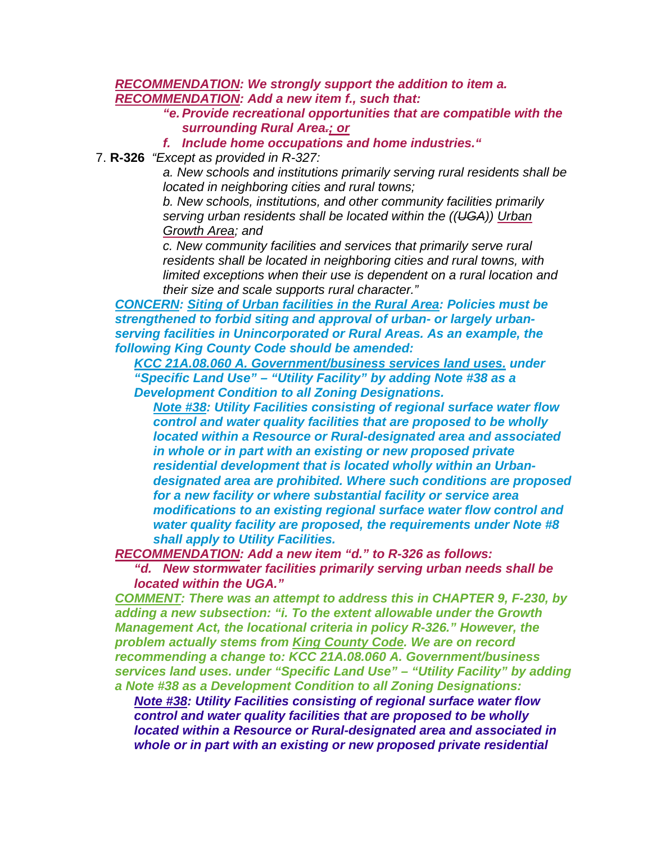*RECOMMENDATION: We strongly support the addition to item a. RECOMMENDATION: Add a new item f., such that:*

> *"e. Provide recreational opportunities that are compatible with the surrounding Rural Area.; or*

*f. Include home occupations and home industries."*

7. **R-326** *"Except as provided in R-327:*

*a. New schools and institutions primarily serving rural residents shall be located in neighboring cities and rural towns;* 

*b. New schools, institutions, and other community facilities primarily serving urban residents shall be located within the ((UGA)) Urban Growth Area; and*

*c. New community facilities and services that primarily serve rural residents shall be located in neighboring cities and rural towns, with limited exceptions when their use is dependent on a rural location and their size and scale supports rural character."*

*CONCERN: Siting of Urban facilities in the Rural Area: Policies must be strengthened to forbid siting and approval of urban- or largely urbanserving facilities in Unincorporated or Rural Areas. As an example, the following King County Code should be amended:*

*KCC 21A.08.060 A. Government/business services land uses. under "Specific Land Use" – "Utility Facility" by adding Note #38 as a Development Condition to all Zoning Designations.*

*Note #38: Utility Facilities consisting of regional surface water flow control and water quality facilities that are proposed to be wholly located within a Resource or Rural-designated area and associated in whole or in part with an existing or new proposed private residential development that is located wholly within an Urbandesignated area are prohibited. Where such conditions are proposed for a new facility or where substantial facility or service area modifications to an existing regional surface water flow control and water quality facility are proposed, the requirements under Note #8 shall apply to Utility Facilities.*

*RECOMMENDATION: Add a new item "d." to R-326 as follows:*

*"d. New stormwater facilities primarily serving urban needs shall be located within the UGA."*

*COMMENT: There was an attempt to address this in CHAPTER 9, F-230, by adding a new subsection: "i. To the extent allowable under the Growth Management Act, the locational criteria in policy R-326." However, the problem actually stems from King County Code. We are on record recommending a change to: KCC 21A.08.060 A. Government/business services land uses. under "Specific Land Use" – "Utility Facility" by adding a Note #38 as a Development Condition to all Zoning Designations:*

*Note #38: Utility Facilities consisting of regional surface water flow control and water quality facilities that are proposed to be wholly located within a Resource or Rural-designated area and associated in whole or in part with an existing or new proposed private residential*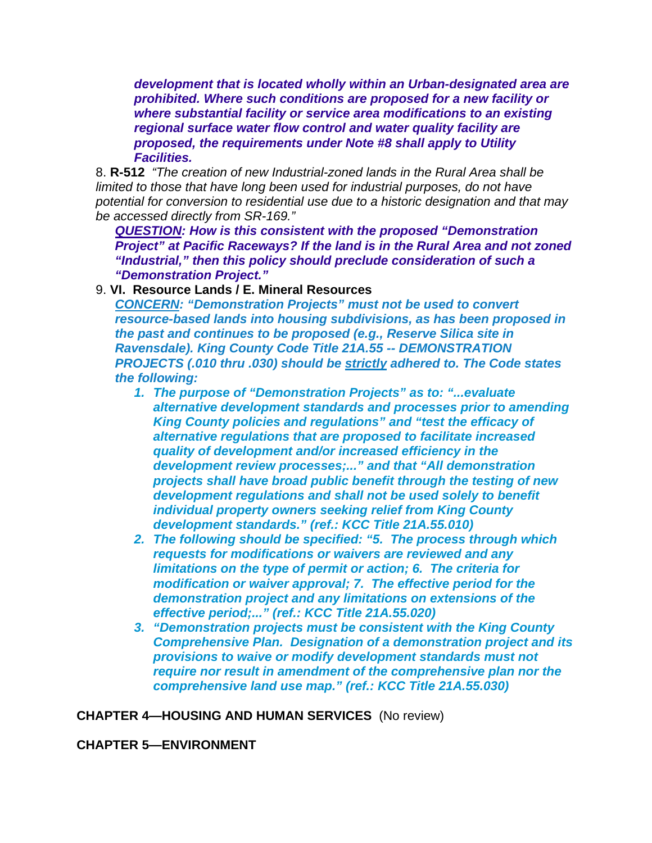*development that is located wholly within an Urban-designated area are prohibited. Where such conditions are proposed for a new facility or where substantial facility or service area modifications to an existing regional surface water flow control and water quality facility are proposed, the requirements under Note #8 shall apply to Utility Facilities.*

8. **R-512** *"The creation of new Industrial-zoned lands in the Rural Area shall be limited to those that have long been used for industrial purposes, do not have potential for conversion to residential use due to a historic designation and that may be accessed directly from SR-169."*

*QUESTION: How is this consistent with the proposed "Demonstration Project" at Pacific Raceways? If the land is in the Rural Area and not zoned "Industrial," then this policy should preclude consideration of such a "Demonstration Project."*

## 9. **VI. Resource Lands / E. Mineral Resources**

*CONCERN: "Demonstration Projects" must not be used to convert resource-based lands into housing subdivisions, as has been proposed in the past and continues to be proposed (e.g., Reserve Silica site in Ravensdale). King County Code Title 21A.55 -- DEMONSTRATION PROJECTS (.010 thru .030) should be strictly adhered to. The Code states the following:*

- *1. The purpose of "Demonstration Projects" as to: "...evaluate alternative development standards and processes prior to amending King County policies and regulations" and "test the efficacy of alternative regulations that are proposed to facilitate increased quality of development and/or increased efficiency in the development review processes;..." and that "All demonstration projects shall have broad public benefit through the testing of new development regulations and shall not be used solely to benefit individual property owners seeking relief from King County development standards." (ref.: KCC Title 21A.55.010)*
- *2. The following should be specified: "5. The process through which requests for modifications or waivers are reviewed and any limitations on the type of permit or action; 6. The criteria for modification or waiver approval; 7. The effective period for the demonstration project and any limitations on extensions of the effective period;..." (ref.: KCC Title 21A.55.020)*
- *3. "Demonstration projects must be consistent with the King County Comprehensive Plan. Designation of a demonstration project and its provisions to waive or modify development standards must not require nor result in amendment of the comprehensive plan nor the comprehensive land use map." (ref.: KCC Title 21A.55.030)*

**CHAPTER 4—HOUSING AND HUMAN SERVICES** (No review)

**CHAPTER 5—ENVIRONMENT**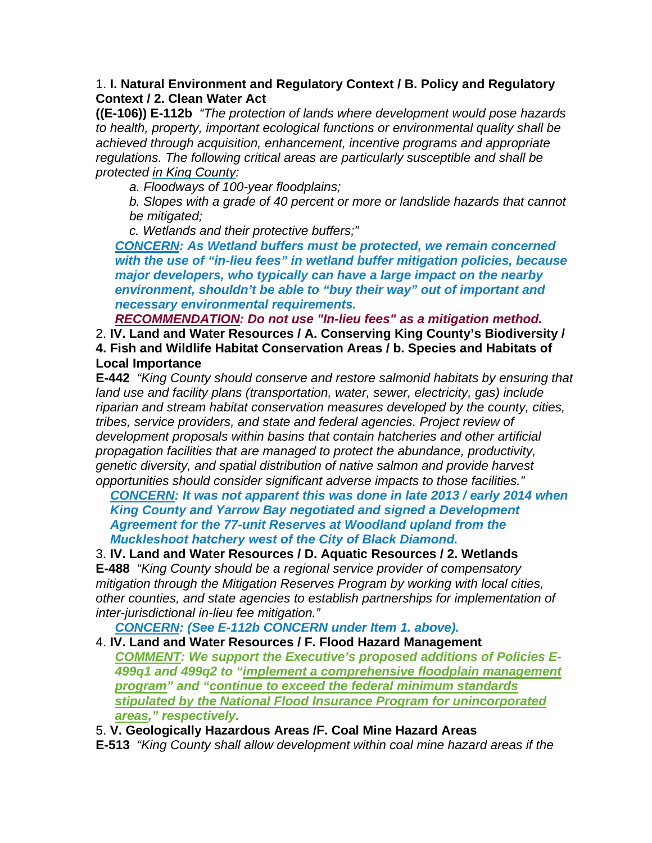## 1. **I. Natural Environment and Regulatory Context / B. Policy and Regulatory Context / 2. Clean Water Act**

**((E-106)) E-112b** *"The protection of lands where development would pose hazards to health, property, important ecological functions or environmental quality shall be achieved through acquisition, enhancement, incentive programs and appropriate regulations. The following critical areas are particularly susceptible and shall be protected in King County:*

*a. Floodways of 100-year floodplains;* 

*b. Slopes with a grade of 40 percent or more or landslide hazards that cannot be mitigated;* 

*c. Wetlands and their protective buffers;"*

*CONCERN: As Wetland buffers must be protected, we remain concerned with the use of "in-lieu fees" in wetland buffer mitigation policies, because major developers, who typically can have a large impact on the nearby environment, shouldn't be able to "buy their way" out of important and necessary environmental requirements.*

*RECOMMENDATION: Do not use "In-lieu fees" as a mitigation method.*

2. **IV. Land and Water Resources / A. Conserving King County's Biodiversity / 4. Fish and Wildlife Habitat Conservation Areas / b. Species and Habitats of Local Importance**

**E-442** *"King County should conserve and restore salmonid habitats by ensuring that land use and facility plans (transportation, water, sewer, electricity, gas) include riparian and stream habitat conservation measures developed by the county, cities, tribes, service providers, and state and federal agencies. Project review of development proposals within basins that contain hatcheries and other artificial propagation facilities that are managed to protect the abundance, productivity, genetic diversity, and spatial distribution of native salmon and provide harvest opportunities should consider significant adverse impacts to those facilities."*

*CONCERN: It was not apparent this was done in late 2013 / early 2014 when King County and Yarrow Bay negotiated and signed a Development Agreement for the 77-unit Reserves at Woodland upland from the Muckleshoot hatchery west of the City of Black Diamond.*

3. **IV. Land and Water Resources / D. Aquatic Resources / 2. Wetlands**

**E-488** *"King County should be a regional service provider of compensatory mitigation through the Mitigation Reserves Program by working with local cities, other counties, and state agencies to establish partnerships for implementation of inter-jurisdictional in-lieu fee mitigation."*

*CONCERN: (See E-112b CONCERN under Item 1. above).*

4. **IV. Land and Water Resources / F. Flood Hazard Management** *COMMENT: We support the Executive's proposed additions of Policies E-499q1 and 499q2 to "implement a comprehensive floodplain management program" and "continue to exceed the federal minimum standards stipulated by the National Flood Insurance Program for unincorporated areas," respectively.*

5. **V. Geologically Hazardous Areas /F. Coal Mine Hazard Areas**

**E-513** *"King County shall allow development within coal mine hazard areas if the*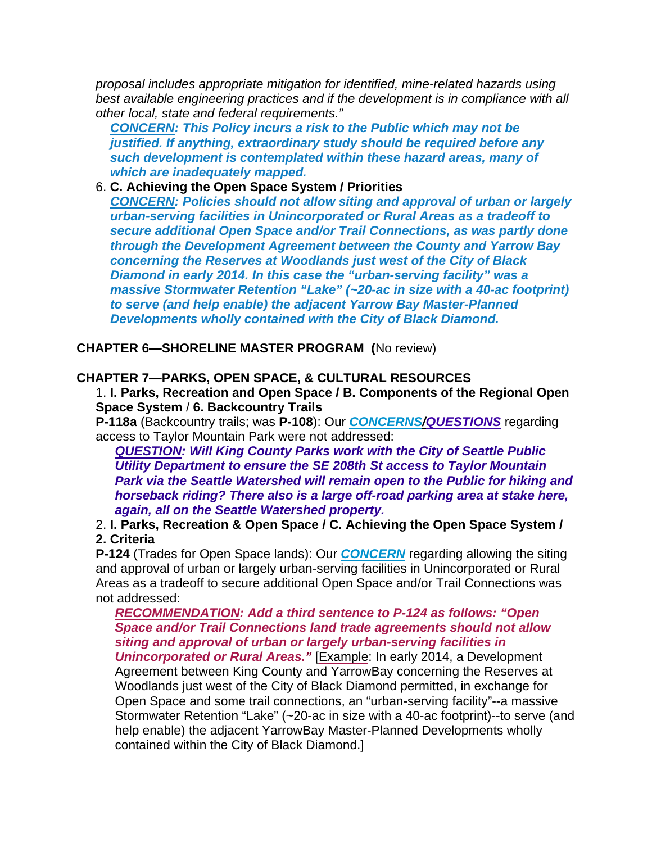*proposal includes appropriate mitigation for identified, mine-related hazards using best available engineering practices and if the development is in compliance with all other local, state and federal requirements."*

*CONCERN: This Policy incurs a risk to the Public which may not be justified. If anything, extraordinary study should be required before any such development is contemplated within these hazard areas, many of which are inadequately mapped.*

# 6. **C. Achieving the Open Space System / Priorities**

*CONCERN: Policies should not allow siting and approval of urban or largely urban-serving facilities in Unincorporated or Rural Areas as a tradeoff to secure additional Open Space and/or Trail Connections, as was partly done through the Development Agreement between the County and Yarrow Bay concerning the Reserves at Woodlands just west of the City of Black Diamond in early 2014. In this case the "urban-serving facility" was a massive Stormwater Retention "Lake" (~20-ac in size with a 40-ac footprint) to serve (and help enable) the adjacent Yarrow Bay Master-Planned Developments wholly contained with the City of Black Diamond.*

**CHAPTER 6—SHORELINE MASTER PROGRAM (**No review)

# **CHAPTER 7—PARKS, OPEN SPACE, & CULTURAL RESOURCES**

1. **I. Parks, Recreation and Open Space / B. Components of the Regional Open Space System** / **6. Backcountry Trails**

**P-118a** (Backcountry trails; was **P-108**): Our *CONCERNS/QUESTIONS* regarding access to Taylor Mountain Park were not addressed:

*QUESTION: Will King County Parks work with the City of Seattle Public Utility Department to ensure the SE 208th St access to Taylor Mountain Park via the Seattle Watershed will remain open to the Public for hiking and horseback riding? There also is a large off-road parking area at stake here, again, all on the Seattle Watershed property.*

2. **I. Parks, Recreation & Open Space / C. Achieving the Open Space System / 2. Criteria**

**P-124** (Trades for Open Space lands): Our *CONCERN* regarding allowing the siting and approval of urban or largely urban-serving facilities in Unincorporated or Rural Areas as a tradeoff to secure additional Open Space and/or Trail Connections was not addressed:

# *RECOMMENDATION: Add a third sentence to P-124 as follows: "Open Space and/or Trail Connections land trade agreements should not allow siting and approval of urban or largely urban-serving facilities in*

*Unincorporated or Rural Areas."* [Example: In early 2014, a Development Agreement between King County and YarrowBay concerning the Reserves at Woodlands just west of the City of Black Diamond permitted, in exchange for Open Space and some trail connections, an "urban-serving facility"--a massive Stormwater Retention "Lake" (~20-ac in size with a 40-ac footprint)--to serve (and help enable) the adjacent YarrowBay Master-Planned Developments wholly contained within the City of Black Diamond.]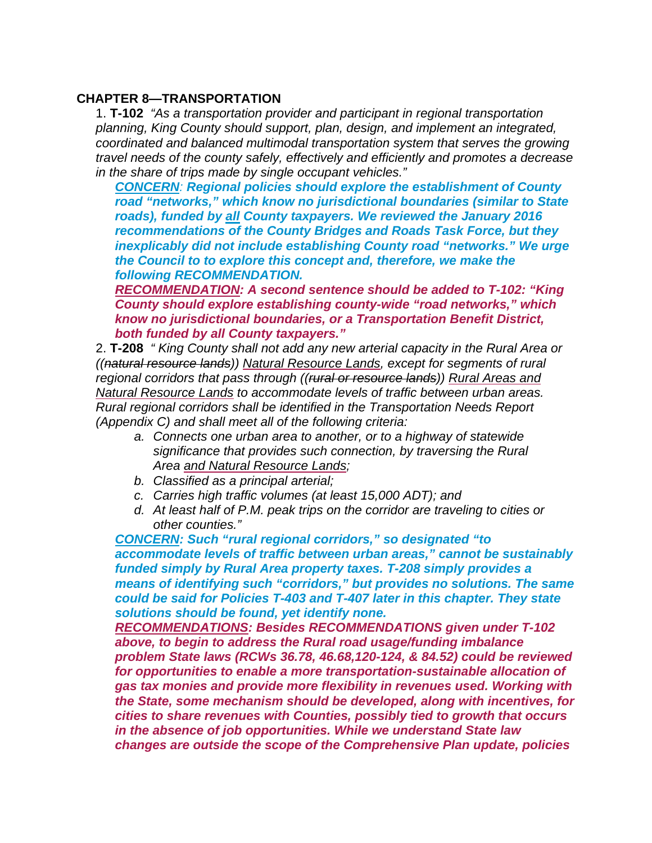## **CHAPTER 8—TRANSPORTATION**

1. **T-102** *"As a transportation provider and participant in regional transportation planning, King County should support, plan, design, and implement an integrated, coordinated and balanced multimodal transportation system that serves the growing travel needs of the county safely, effectively and efficiently and promotes a decrease in the share of trips made by single occupant vehicles."*

*CONCERN: Regional policies should explore the establishment of County road "networks," which know no jurisdictional boundaries (similar to State roads), funded by all County taxpayers. We reviewed the January 2016 recommendations of the County Bridges and Roads Task Force, but they inexplicably did not include establishing County road "networks." We urge the Council to to explore this concept and, therefore, we make the following RECOMMENDATION.*

*RECOMMENDATION: A second sentence should be added to T-102: "King County should explore establishing county-wide "road networks," which know no jurisdictional boundaries, or a Transportation Benefit District, both funded by all County taxpayers."*

2. **T-208** *" King County shall not add any new arterial capacity in the Rural Area or ((natural resource lands)) Natural Resource Lands, except for segments of rural regional corridors that pass through ((rural or resource lands)) Rural Areas and Natural Resource Lands to accommodate levels of traffic between urban areas. Rural regional corridors shall be identified in the Transportation Needs Report (Appendix C) and shall meet all of the following criteria:*

- *a. Connects one urban area to another, or to a highway of statewide significance that provides such connection, by traversing the Rural Area and Natural Resource Lands;*
- *b. Classified as a principal arterial;*
- *c. Carries high traffic volumes (at least 15,000 ADT); and*
- *d. At least half of P.M. peak trips on the corridor are traveling to cities or other counties."*

*CONCERN: Such "rural regional corridors," so designated "to accommodate levels of traffic between urban areas," cannot be sustainably funded simply by Rural Area property taxes. T-208 simply provides a means of identifying such "corridors," but provides no solutions. The same could be said for Policies T-403 and T-407 later in this chapter. They state solutions should be found, yet identify none.*

*RECOMMENDATIONS: Besides RECOMMENDATIONS given under T-102 above, to begin to address the Rural road usage/funding imbalance problem State laws (RCWs 36.78, 46.68,120-124, & 84.52) could be reviewed for opportunities to enable a more transportation-sustainable allocation of gas tax monies and provide more flexibility in revenues used. Working with the State, some mechanism should be developed, along with incentives, for cities to share revenues with Counties, possibly tied to growth that occurs in the absence of job opportunities. While we understand State law changes are outside the scope of the Comprehensive Plan update, policies*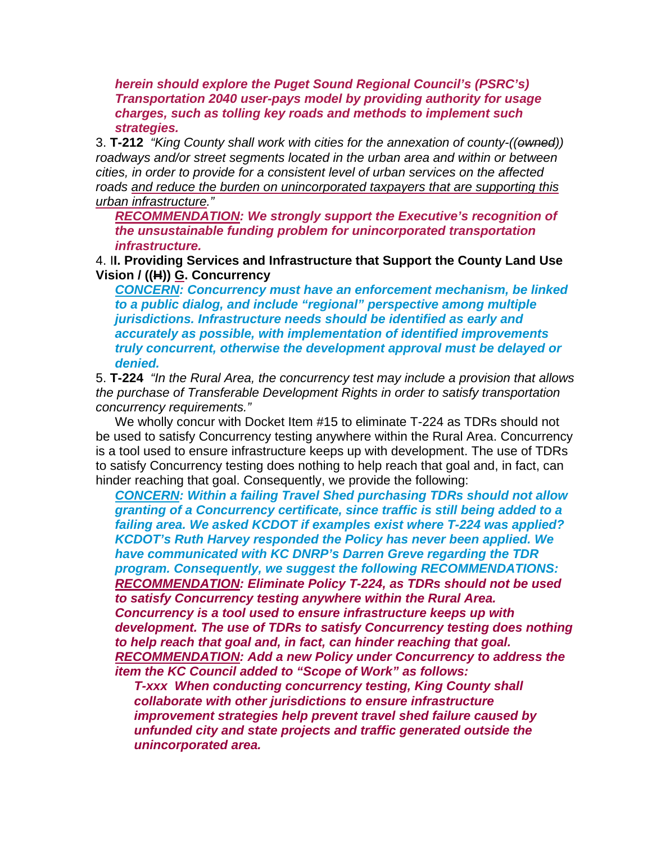*herein should explore the Puget Sound Regional Council's (PSRC's) Transportation 2040 user-pays model by providing authority for usage charges, such as tolling key roads and methods to implement such strategies.*

3. **T-212** *"King County shall work with cities for the annexation of county-((owned)) roadways and/or street segments located in the urban area and within or between cities, in order to provide for a consistent level of urban services on the affected roads and reduce the burden on unincorporated taxpayers that are supporting this urban infrastructure."*

*RECOMMENDATION: We strongly support the Executive's recognition of the unsustainable funding problem for unincorporated transportation infrastructure.*

4. I**I. Providing Services and Infrastructure that Support the County Land Use Vision / ((H)) G. Concurrency**

*CONCERN: Concurrency must have an enforcement mechanism, be linked to a public dialog, and include "regional" perspective among multiple jurisdictions. Infrastructure needs should be identified as early and accurately as possible, with implementation of identified improvements truly concurrent, otherwise the development approval must be delayed or denied.*

5. **T-224** *"In the Rural Area, the concurrency test may include a provision that allows the purchase of Transferable Development Rights in order to satisfy transportation concurrency requirements."*

We wholly concur with Docket Item #15 to eliminate T-224 as TDRs should not be used to satisfy Concurrency testing anywhere within the Rural Area. Concurrency is a tool used to ensure infrastructure keeps up with development. The use of TDRs to satisfy Concurrency testing does nothing to help reach that goal and, in fact, can hinder reaching that goal. Consequently, we provide the following:

*CONCERN: Within a failing Travel Shed purchasing TDRs should not allow granting of a Concurrency certificate, since traffic is still being added to a failing area. We asked KCDOT if examples exist where T-224 was applied? KCDOT's Ruth Harvey responded the Policy has never been applied. We have communicated with KC DNRP's Darren Greve regarding the TDR program. Consequently, we suggest the following RECOMMENDATIONS: RECOMMENDATION: Eliminate Policy T-224, as TDRs should not be used to satisfy Concurrency testing anywhere within the Rural Area. Concurrency is a tool used to ensure infrastructure keeps up with development. The use of TDRs to satisfy Concurrency testing does nothing to help reach that goal and, in fact, can hinder reaching that goal. RECOMMENDATION: Add a new Policy under Concurrency to address the item the KC Council added to "Scope of Work" as follows:*

*T-xxx When conducting concurrency testing, King County shall collaborate with other jurisdictions to ensure infrastructure improvement strategies help prevent travel shed failure caused by unfunded city and state projects and traffic generated outside the unincorporated area.*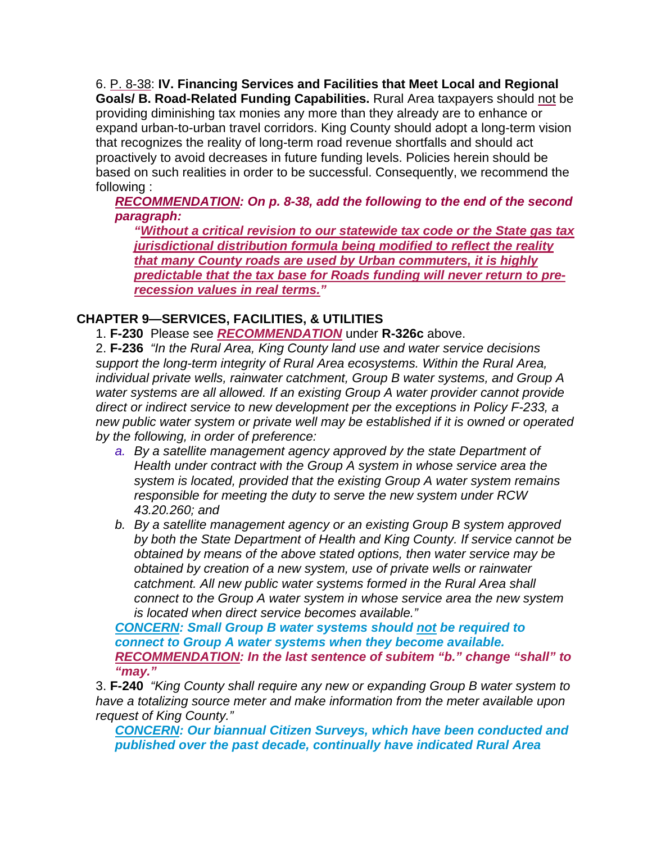6. P. 8-38: **IV. Financing Services and Facilities that Meet Local and Regional Goals/ B. Road-Related Funding Capabilities.** Rural Area taxpayers should not be providing diminishing tax monies any more than they already are to enhance or expand urban-to-urban travel corridors. King County should adopt a long-term vision that recognizes the reality of long-term road revenue shortfalls and should act proactively to avoid decreases in future funding levels. Policies herein should be based on such realities in order to be successful. Consequently, we recommend the following :

*RECOMMENDATION: On p. 8-38, add the following to the end of the second paragraph:*

*"Without a critical revision to our statewide tax code or the State gas tax jurisdictional distribution formula being modified to reflect the reality that many County roads are used by Urban commuters, it is highly predictable that the tax base for Roads funding will never return to prerecession values in real terms."*

# **CHAPTER 9—SERVICES, FACILITIES, & UTILITIES**

1. **F-230** Please see *RECOMMENDATION* under **R-326c** above.

2. **F-236** *"In the Rural Area, King County land use and water service decisions support the long-term integrity of Rural Area ecosystems. Within the Rural Area, individual private wells, rainwater catchment, Group B water systems, and Group A water systems are all allowed. If an existing Group A water provider cannot provide direct or indirect service to new development per the exceptions in Policy F-233, a new public water system or private well may be established if it is owned or operated by the following, in order of preference:* 

- *a. By a satellite management agency approved by the state Department of Health under contract with the Group A system in whose service area the system is located, provided that the existing Group A water system remains responsible for meeting the duty to serve the new system under RCW 43.20.260; and*
- *b. By a satellite management agency or an existing Group B system approved by both the State Department of Health and King County. If service cannot be obtained by means of the above stated options, then water service may be obtained by creation of a new system, use of private wells or rainwater catchment. All new public water systems formed in the Rural Area shall connect to the Group A water system in whose service area the new system is located when direct service becomes available."*

*CONCERN: Small Group B water systems should not be required to connect to Group A water systems when they become available. RECOMMENDATION: In the last sentence of subitem "b." change "shall" to "may."*

3. **F-240** *"King County shall require any new or expanding Group B water system to have a totalizing source meter and make information from the meter available upon request of King County."*

*CONCERN: Our biannual Citizen Surveys, which have been conducted and published over the past decade, continually have indicated Rural Area*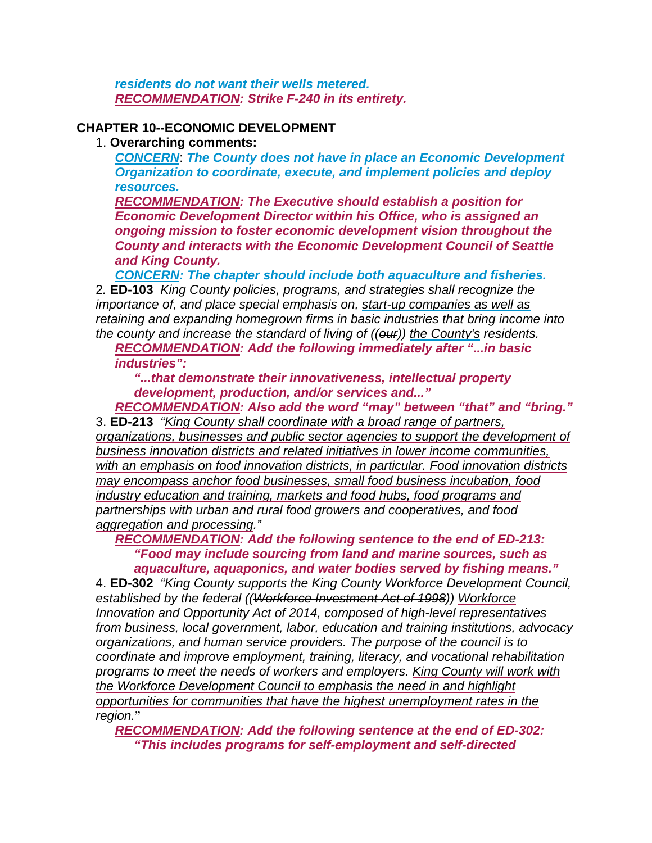*residents do not want their wells metered. RECOMMENDATION: Strike F-240 in its entirety.*

## **CHAPTER 10--ECONOMIC DEVELOPMENT**

## 1. **Overarching comments:**

*CONCERN*: *The County does not have in place an Economic Development Organization to coordinate, execute, and implement policies and deploy resources.*

*RECOMMENDATION: The Executive should establish a position for Economic Development Director within his Office, who is assigned an ongoing mission to foster economic development vision throughout the County and interacts with the Economic Development Council of Seattle and King County.*

*CONCERN: The chapter should include both aquaculture and fisheries.*

2*.* **ED-103** *King County policies, programs, and strategies shall recognize the importance of, and place special emphasis on, start-up companies as well as retaining and expanding homegrown firms in basic industries that bring income into the county and increase the standard of living of ((our)) the County's residents.* 

*RECOMMENDATION: Add the following immediately after "...in basic industries":*

*"...that demonstrate their innovativeness, intellectual property development, production, and/or services and..."*

*RECOMMENDATION: Also add the word "may" between "that" and "bring."* 3. **ED-213** *"King County shall coordinate with a broad range of partners, organizations, businesses and public sector agencies to support the development of business innovation districts and related initiatives in lower income communities, with an emphasis on food innovation districts, in particular. Food innovation districts may encompass anchor food businesses, small food business incubation, food industry education and training, markets and food hubs, food programs and partnerships with urban and rural food growers and cooperatives, and food aggregation and processing."*

*RECOMMENDATION: Add the following sentence to the end of ED-213: "Food may include sourcing from land and marine sources, such as aquaculture, aquaponics, and water bodies served by fishing means."*

4. **ED-302** *"King County supports the King County Workforce Development Council, established by the federal ((Workforce Investment Act of 1998)) Workforce Innovation and Opportunity Act of 2014, composed of high-level representatives from business, local government, labor, education and training institutions, advocacy organizations, and human service providers. The purpose of the council is to coordinate and improve employment, training, literacy, and vocational rehabilitation programs to meet the needs of workers and employers. King County will work with the Workforce Development Council to emphasis the need in and highlight opportunities for communities that have the highest unemployment rates in the region.*"

*RECOMMENDATION: Add the following sentence at the end of ED-302: "This includes programs for self-employment and self-directed*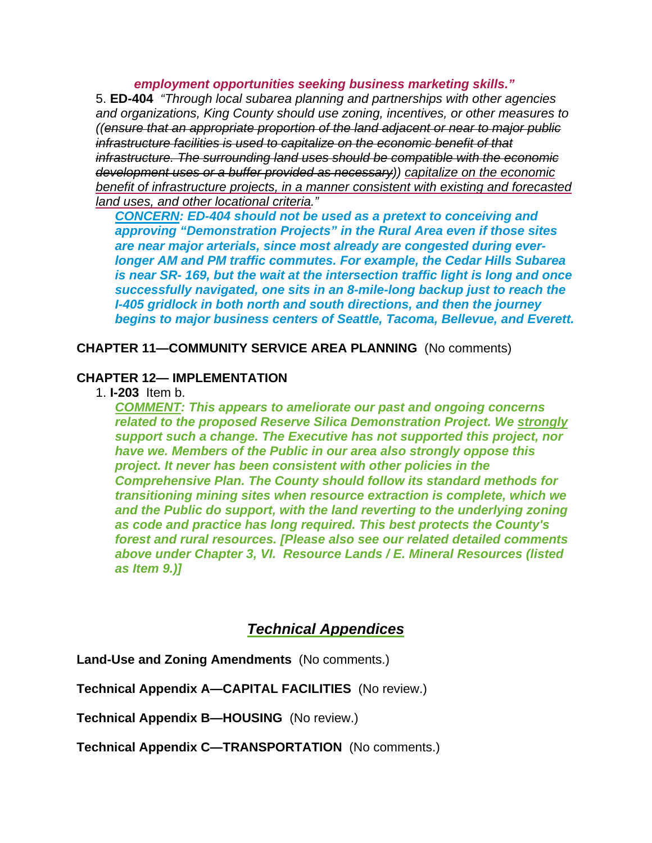*employment opportunities seeking business marketing skills."* 5. **ED-404** *"Through local subarea planning and partnerships with other agencies and organizations, King County should use zoning, incentives, or other measures to ((ensure that an appropriate proportion of the land adjacent or near to major public infrastructure facilities is used to capitalize on the economic benefit of that infrastructure. The surrounding land uses should be compatible with the economic development uses or a buffer provided as necessary)) capitalize on the economic benefit of infrastructure projects, in a manner consistent with existing and forecasted land uses, and other locational criteria."*

*CONCERN: ED-404 should not be used as a pretext to conceiving and approving "Demonstration Projects" in the Rural Area even if those sites are near major arterials, since most already are congested during everlonger AM and PM traffic commutes. For example, the Cedar Hills Subarea is near SR- 169, but the wait at the intersection traffic light is long and once successfully navigated, one sits in an 8-mile-long backup just to reach the I-405 gridlock in both north and south directions, and then the journey begins to major business centers of Seattle, Tacoma, Bellevue, and Everett.*

**CHAPTER 11—COMMUNITY SERVICE AREA PLANNING** (No comments)

## **CHAPTER 12— IMPLEMENTATION**

1. **I-203** Item b.

*COMMENT: This appears to ameliorate our past and ongoing concerns related to the proposed Reserve Silica Demonstration Project. We strongly support such a change. The Executive has not supported this project, nor have we. Members of the Public in our area also strongly oppose this project. It never has been consistent with other policies in the Comprehensive Plan. The County should follow its standard methods for transitioning mining sites when resource extraction is complete, which we and the Public do support, with the land reverting to the underlying zoning as code and practice has long required. This best protects the County's forest and rural resources. [Please also see our related detailed comments above under Chapter 3, VI. Resource Lands / E. Mineral Resources (listed as Item 9.)]*

# *Technical Appendices*

**Land-Use and Zoning Amendments** (No comments.)

**Technical Appendix A—CAPITAL FACILITIES** (No review.)

**Technical Appendix B—HOUSING** (No review.)

**Technical Appendix C—TRANSPORTATION** (No comments.)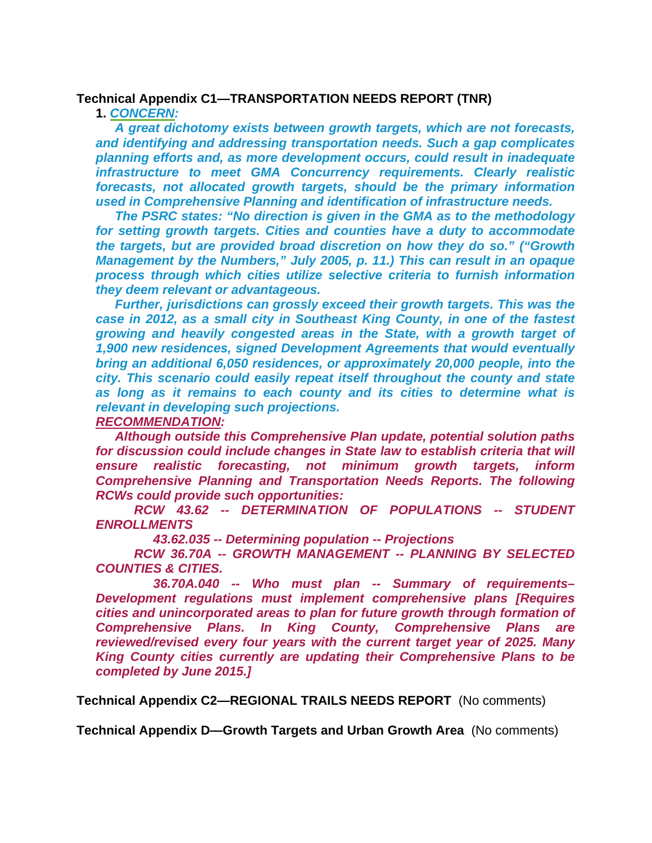#### **Technical Appendix C1—TRANSPORTATION NEEDS REPORT (TNR)**

#### **1.** *CONCERN:*

*A great dichotomy exists between growth targets, which are not forecasts, and identifying and addressing transportation needs. Such a gap complicates planning efforts and, as more development occurs, could result in inadequate infrastructure to meet GMA Concurrency requirements. Clearly realistic forecasts, not allocated growth targets, should be the primary information used in Comprehensive Planning and identification of infrastructure needs.*

*The PSRC states: "No direction is given in the GMA as to the methodology for setting growth targets. Cities and counties have a duty to accommodate the targets, but are provided broad discretion on how they do so." ("Growth Management by the Numbers," July 2005, p. 11.) This can result in an opaque process through which cities utilize selective criteria to furnish information they deem relevant or advantageous.*

*Further, jurisdictions can grossly exceed their growth targets. This was the case in 2012, as a small city in Southeast King County, in one of the fastest growing and heavily congested areas in the State, with a growth target of 1,900 new residences, signed Development Agreements that would eventually bring an additional 6,050 residences, or approximately 20,000 people, into the city. This scenario could easily repeat itself throughout the county and state as long as it remains to each county and its cities to determine what is relevant in developing such projections.*

#### *RECOMMENDATION:*

*Although outside this Comprehensive Plan update, potential solution paths for discussion could include changes in State law to establish criteria that will ensure realistic forecasting, not minimum growth targets, inform Comprehensive Planning and Transportation Needs Reports. The following RCWs could provide such opportunities:*

*RCW 43.62 -- DETERMINATION OF POPULATIONS -- STUDENT ENROLLMENTS*

*43.62.035 -- Determining population -- Projections*

*RCW 36.70A -- GROWTH MANAGEMENT -- PLANNING BY SELECTED COUNTIES & CITIES.*

*36.70A.040 -- Who must plan -- Summary of requirements– Development regulations must implement comprehensive plans [Requires cities and unincorporated areas to plan for future growth through formation of Comprehensive Plans. In King County, Comprehensive Plans are reviewed/revised every four years with the current target year of 2025. Many King County cities currently are updating their Comprehensive Plans to be completed by June 2015.]*

**Technical Appendix C2—REGIONAL TRAILS NEEDS REPORT** (No comments)

**Technical Appendix D—Growth Targets and Urban Growth Area** (No comments)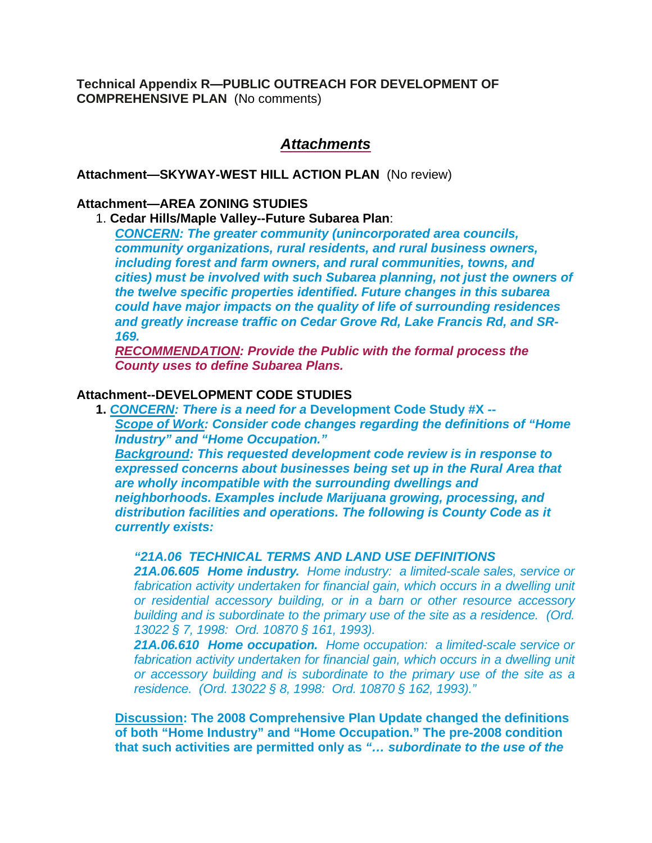**Technical Appendix R—PUBLIC OUTREACH FOR DEVELOPMENT OF COMPREHENSIVE PLAN** (No comments)

# *Attachments*

**Attachment—SKYWAY-WEST HILL ACTION PLAN** (No review)

#### **Attachment—AREA ZONING STUDIES**

### 1. **Cedar Hills/Maple Valley--Future Subarea Plan**:

*CONCERN: The greater community (unincorporated area councils, community organizations, rural residents, and rural business owners, including forest and farm owners, and rural communities, towns, and cities) must be involved with such Subarea planning, not just the owners of the twelve specific properties identified. Future changes in this subarea could have major impacts on the quality of life of surrounding residences and greatly increase traffic on Cedar Grove Rd, Lake Francis Rd, and SR-169.* 

*RECOMMENDATION: Provide the Public with the formal process the County uses to define Subarea Plans.*

### **Attachment--DEVELOPMENT CODE STUDIES**

**1.** *CONCERN: There is a need for a* **Development Code Study #X --** *Scope of Work: Consider code changes regarding the definitions of "Home Industry" and "Home Occupation."*

*Background: This requested development code review is in response to expressed concerns about businesses being set up in the Rural Area that are wholly incompatible with the surrounding dwellings and neighborhoods. Examples include Marijuana growing, processing, and distribution facilities and operations. The following is County Code as it currently exists:*

## *"21A.06 TECHNICAL TERMS AND LAND USE DEFINITIONS*

*21A.06.605 Home industry. Home industry: a limited-scale sales, service or*  fabrication activity undertaken for financial gain, which occurs in a dwelling unit *or residential accessory building, or in a barn or other resource accessory building and is subordinate to the primary use of the site as a residence. (Ord. 13022 § 7, 1998: Ord. 10870 § 161, 1993).*

*21A.06.610 Home occupation. Home occupation: a limited-scale service or*  fabrication activity undertaken for financial gain, which occurs in a dwelling unit *or accessory building and is subordinate to the primary use of the site as a residence. (Ord. 13022 § 8, 1998: Ord. 10870 § 162, 1993)."*

**Discussion: The 2008 Comprehensive Plan Update changed the definitions of both "Home Industry" and "Home Occupation." The pre-2008 condition that such activities are permitted only as** *"… subordinate to the use of the*